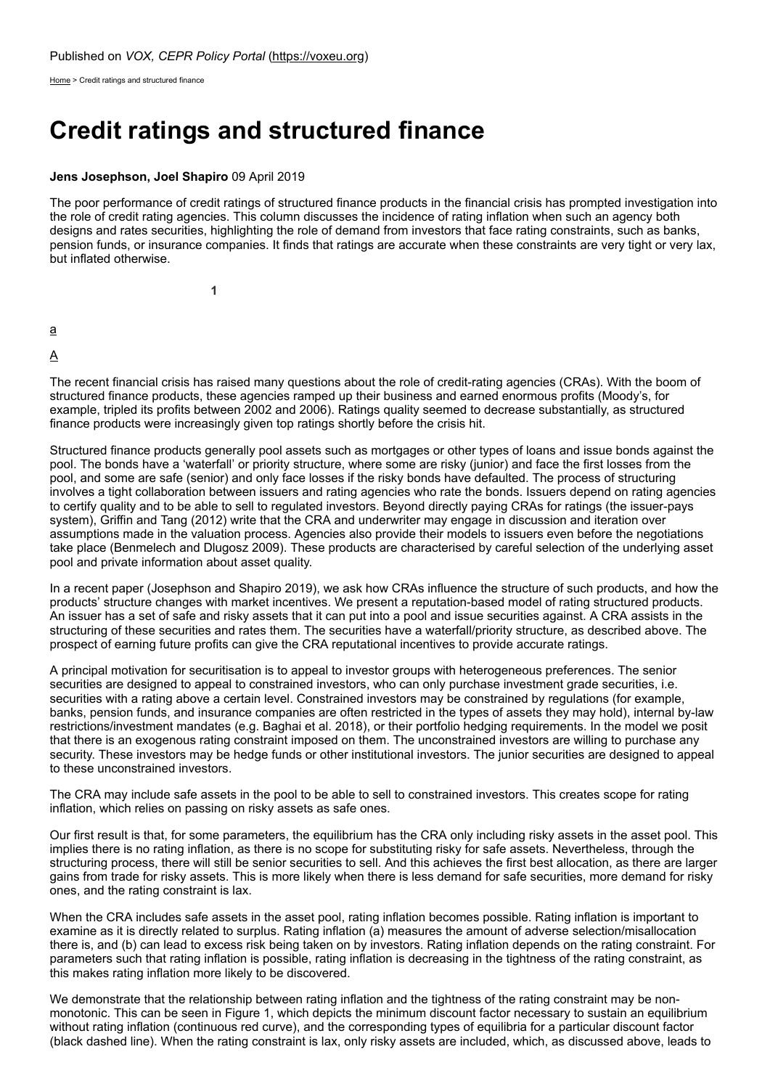[Home](https://voxeu.org/) > Credit ratings and structured finance

# **Credit ratings and structured finance**

#### **Jens Josephson, Joel Shapiro** 09 April 2019

The poor performance of credit ratings of structured finance products in the financial crisis has prompted investigation into the role of credit rating agencies. This column discusses the incidence of rating inflation when such an agency both designs and rates securities, highlighting the role of demand from investors that face rating constraints, such as banks, pension funds, or insurance companies. It finds that ratings are accurate when these constraints are very tight or very lax, but inflated otherwise.

**1**

[a](https://voxeu.org/print/64042#)

### [A](https://voxeu.org/print/64042#)

The recent financial crisis has raised many questions about the role of credit-rating agencies (CRAs). With the boom of structured finance products, these agencies ramped up their business and earned enormous profits (Moody's, for example, tripled its profits between 2002 and 2006). Ratings quality seemed to decrease substantially, as structured finance products were increasingly given top ratings shortly before the crisis hit.

Structured finance products generally pool assets such as mortgages or other types of loans and issue bonds against the pool. The bonds have a 'waterfall' or priority structure, where some are risky (junior) and face the first losses from the pool, and some are safe (senior) and only face losses if the risky bonds have defaulted. The process of structuring involves a tight collaboration between issuers and rating agencies who rate the bonds. Issuers depend on rating agencies to certify quality and to be able to sell to regulated investors. Beyond directly paying CRAs for ratings (the issuer-pays system), Griffin and Tang (2012) write that the CRA and underwriter may engage in discussion and iteration over assumptions made in the valuation process. Agencies also provide their models to issuers even before the negotiations take place (Benmelech and Dlugosz 2009). These products are characterised by careful selection of the underlying asset pool and private information about asset quality.

In a recent paper (Josephson and Shapiro 2019), we ask how CRAs influence the structure of such products, and how the products' structure changes with market incentives. We present a reputation-based model of rating structured products. An issuer has a set of safe and risky assets that it can put into a pool and issue securities against. A CRA assists in the structuring of these securities and rates them. The securities have a waterfall/priority structure, as described above. The prospect of earning future profits can give the CRA reputational incentives to provide accurate ratings.

A principal motivation for securitisation is to appeal to investor groups with heterogeneous preferences. The senior securities are designed to appeal to constrained investors, who can only purchase investment grade securities, i.e. securities with a rating above a certain level. Constrained investors may be constrained by regulations (for example, banks, pension funds, and insurance companies are often restricted in the types of assets they may hold), internal by-law restrictions/investment mandates (e.g. Baghai et al. 2018), or their portfolio hedging requirements. In the model we posit that there is an exogenous rating constraint imposed on them. The unconstrained investors are willing to purchase any security. These investors may be hedge funds or other institutional investors. The junior securities are designed to appeal to these unconstrained investors.

The CRA may include safe assets in the pool to be able to sell to constrained investors. This creates scope for rating inflation, which relies on passing on risky assets as safe ones.

Our first result is that, for some parameters, the equilibrium has the CRA only including risky assets in the asset pool. This implies there is no rating inflation, as there is no scope for substituting risky for safe assets. Nevertheless, through the structuring process, there will still be senior securities to sell. And this achieves the first best allocation, as there are larger gains from trade for risky assets. This is more likely when there is less demand for safe securities, more demand for risky ones, and the rating constraint is lax.

When the CRA includes safe assets in the asset pool, rating inflation becomes possible. Rating inflation is important to examine as it is directly related to surplus. Rating inflation (a) measures the amount of adverse selection/misallocation there is, and (b) can lead to excess risk being taken on by investors. Rating inflation depends on the rating constraint. For parameters such that rating inflation is possible, rating inflation is decreasing in the tightness of the rating constraint, as this makes rating inflation more likely to be discovered.

We demonstrate that the relationship between rating inflation and the tightness of the rating constraint may be nonmonotonic. This can be seen in Figure 1, which depicts the minimum discount factor necessary to sustain an equilibrium without rating inflation (continuous red curve), and the corresponding types of equilibria for a particular discount factor (black dashed line). When the rating constraint is lax, only risky assets are included, which, as discussed above, leads to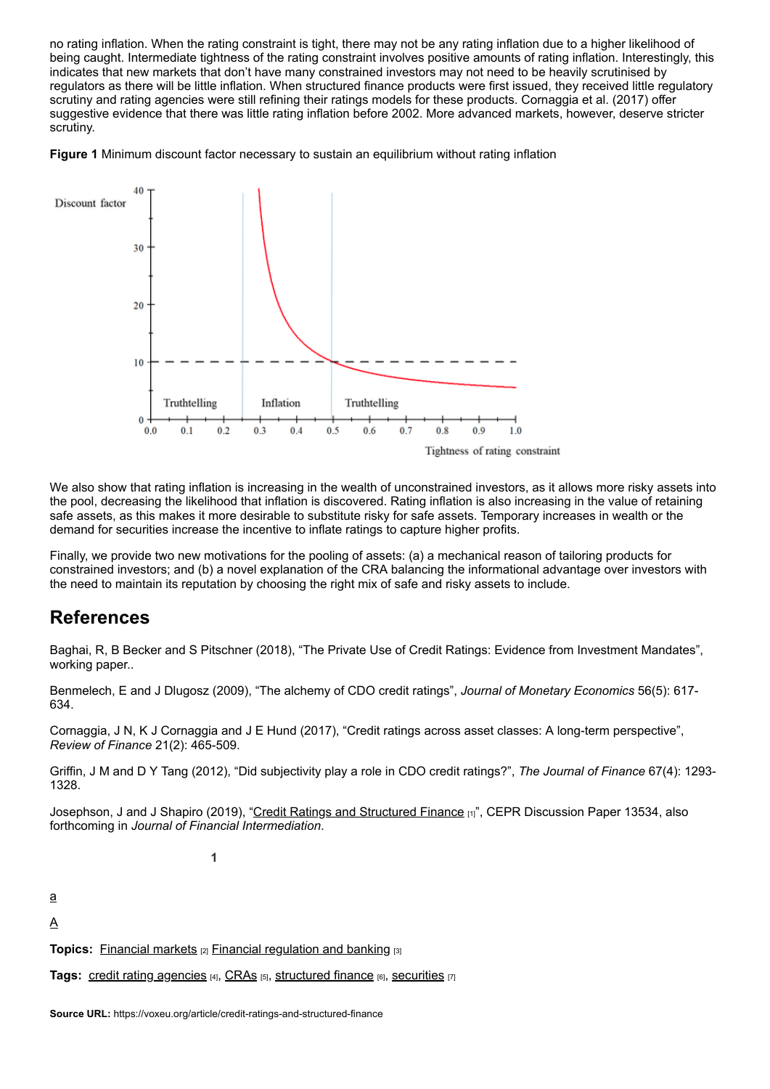no rating inflation. When the rating constraint is tight, there may not be any rating inflation due to a higher likelihood of being caught. Intermediate tightness of the rating constraint involves positive amounts of rating inflation. Interestingly, this indicates that new markets that don't have many constrained investors may not need to be heavily scrutinised by regulators as there will be little inflation. When structured finance products were first issued, they received little regulatory scrutiny and rating agencies were still refining their ratings models for these products. Cornaggia et al. (2017) offer suggestive evidence that there was little rating inflation before 2002. More advanced markets, however, deserve stricter scrutiny.





We also show that rating inflation is increasing in the wealth of unconstrained investors, as it allows more risky assets into the pool, decreasing the likelihood that inflation is discovered. Rating inflation is also increasing in the value of retaining safe assets, as this makes it more desirable to substitute risky for safe assets. Temporary increases in wealth or the demand for securities increase the incentive to inflate ratings to capture higher profits.

Finally, we provide two new motivations for the pooling of assets: (a) a mechanical reason of tailoring products for constrained investors; and (b) a novel explanation of the CRA balancing the informational advantage over investors with the need to maintain its reputation by choosing the right mix of safe and risky assets to include.

## **References**

Baghai, R, B Becker and S Pitschner (2018), "The Private Use of Credit Ratings: Evidence from Investment Mandates", working paper..

Benmelech, E and J Dlugosz (2009), "The alchemy of CDO credit ratings", *Journal of Monetary Economics* 56(5): 617- 634.

Cornaggia, J N, K J Cornaggia and J E Hund (2017), "Credit ratings across asset classes: A long-term perspective", *Review of Finance* 21(2): 465-509.

Griffin, J M and D Y Tang (2012), "Did subjectivity play a role in CDO credit ratings?", *The Journal of Finance* 67(4): 1293- 1328.

Josephson, J and J Shapiro (2019), "[Credit Ratings and Structured Finance](https://cepr.org/active/publications/discussion_papers/dp.php?dpno=13534) [1]", CEPR Discussion Paper 13534, also forthcoming in *Journal of Financial Intermediation*.

**1**

[a](https://voxeu.org/print/64042#)

 $\underline{A}$  $\underline{A}$  $\underline{A}$ 

**Topics:** [Financial markets](https://voxeu.org/content/topics/financial-markets) [2] [Financial regulation and banking](https://voxeu.org/content/topics/financial-regulation-and-banking) [3]

**Tags:** [credit rating agencies](https://voxeu.org/taxonomy/term/1353) [4], [CRAs](https://voxeu.org/taxonomy/term/9924) [5], [structured finance](https://voxeu.org/taxonomy/term/9925) [6], [securities](https://voxeu.org/taxonomy/term/339) [7]